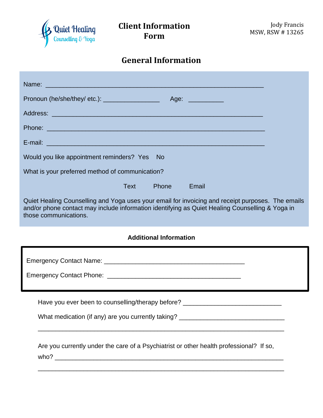

## **General Information**

| Name: 2008. 2009. 2009. 2009. 2009. 2010. 2010. 2010. 2010. 2010. 2010. 2010. 2010. 2010. 2010. 2010. 2010. 20                                                                                                                |
|-------------------------------------------------------------------------------------------------------------------------------------------------------------------------------------------------------------------------------|
| Pronoun (he/she/they/ etc.): ____________________<br>Age: ___________                                                                                                                                                         |
|                                                                                                                                                                                                                               |
|                                                                                                                                                                                                                               |
|                                                                                                                                                                                                                               |
| Would you like appointment reminders? Yes<br>- No                                                                                                                                                                             |
| What is your preferred method of communication?                                                                                                                                                                               |
| <b>Text</b><br>Phone<br>Email                                                                                                                                                                                                 |
| Quiet Healing Counselling and Yoga uses your email for invoicing and receipt purposes. The emails<br>and/or phone contact may include information identifying as Quiet Healing Counselling & Yoga in<br>those communications. |
|                                                                                                                                                                                                                               |
| <b>Additional Information</b>                                                                                                                                                                                                 |
|                                                                                                                                                                                                                               |
|                                                                                                                                                                                                                               |
|                                                                                                                                                                                                                               |
| Have you ever been to counselling/therapy before? ______________________________                                                                                                                                              |
|                                                                                                                                                                                                                               |
| What medication (if any) are you currently taking? _____________________________                                                                                                                                              |
|                                                                                                                                                                                                                               |
| Are you currently under the care of a Psychiatrist or other health professional? If so,                                                                                                                                       |
|                                                                                                                                                                                                                               |